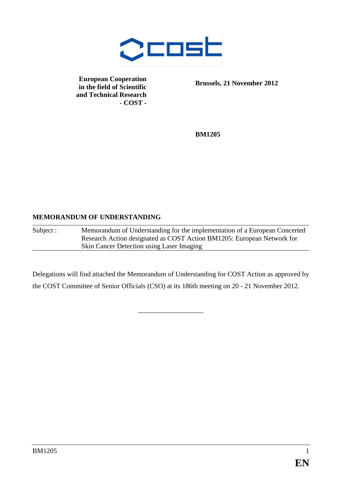

**European Cooperation in the field of Scientific and Technical Research - COST -**

**Brussels, 21 November 2012**

**BM1205**

#### **MEMORANDUM OF UNDERSTANDING**

Subject : Memorandum of Understanding for the implementation of a European Concerted Research Action designated as COST Action BM1205: European Network for Skin Cancer Detection using Laser Imaging

Delegations will find attached the Memorandum of Understanding for COST Action as approved by the COST Committee of Senior Officials (CSO) at its 186th meeting on 20 - 21 November 2012.

\_\_\_\_\_\_\_\_\_\_\_\_\_\_\_\_\_\_\_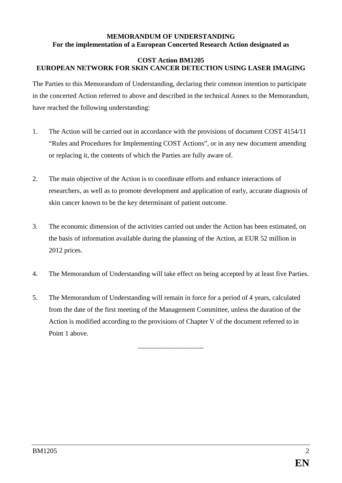### **MEMORANDUM OF UNDERSTANDING For the implementation of a European Concerted Research Action designated as**

#### **COST Action BM1205 EUROPEAN NETWORK FOR SKIN CANCER DETECTION USING LASER IMAGING**

The Parties to this Memorandum of Understanding, declaring their common intention to participate in the concerted Action referred to above and described in the technical Annex to the Memorandum, have reached the following understanding:

- 1. The Action will be carried out in accordance with the provisions of document COST 4154/11 "Rules and Procedures for Implementing COST Actions", or in any new document amending or replacing it, the contents of which the Parties are fully aware of.
- 2. The main objective of the Action is to coordinate efforts and enhance interactions of researchers, as well as to promote development and application of early, accurate diagnosis of skin cancer known to be the key determinant of patient outcome.
- 3. The economic dimension of the activities carried out under the Action has been estimated, on the basis of information available during the planning of the Action, at EUR 52 million in 2012 prices.
- 4. The Memorandum of Understanding will take effect on being accepted by at least five Parties.
- 5. The Memorandum of Understanding will remain in force for a period of 4 years, calculated from the date of the first meeting of the Management Committee, unless the duration of the Action is modified according to the provisions of Chapter V of the document referred to in Point 1 above.

\_\_\_\_\_\_\_\_\_\_\_\_\_\_\_\_\_\_\_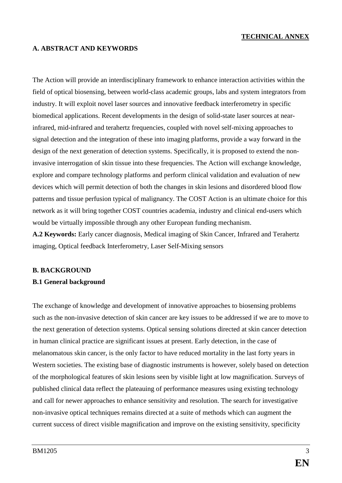## **TECHNICAL ANNEX**

# **A. ABSTRACT AND KEYWORDS**

The Action will provide an interdisciplinary framework to enhance interaction activities within the field of optical biosensing, between world-class academic groups, labs and system integrators from industry. It will exploit novel laser sources and innovative feedback interferometry in specific biomedical applications. Recent developments in the design of solid-state laser sources at nearinfrared, mid-infrared and terahertz frequencies, coupled with novel self-mixing approaches to signal detection and the integration of these into imaging platforms, provide a way forward in the design of the next generation of detection systems. Specifically, it is proposed to extend the noninvasive interrogation of skin tissue into these frequencies. The Action will exchange knowledge, explore and compare technology platforms and perform clinical validation and evaluation of new devices which will permit detection of both the changes in skin lesions and disordered blood flow patterns and tissue perfusion typical of malignancy. The COST Action is an ultimate choice for this network as it will bring together COST countries academia, industry and clinical end-users which would be virtually impossible through any other European funding mechanism.

**A.2 Keywords:** Early cancer diagnosis, Medical imaging of Skin Cancer, Infrared and Terahertz imaging, Optical feedback Interferometry, Laser Self-Mixing sensors

#### **B. BACKGROUND**

#### **B.1 General background**

The exchange of knowledge and development of innovative approaches to biosensing problems such as the non-invasive detection of skin cancer are key issues to be addressed if we are to move to the next generation of detection systems. Optical sensing solutions directed at skin cancer detection in human clinical practice are significant issues at present. Early detection, in the case of melanomatous skin cancer, is the only factor to have reduced mortality in the last forty years in Western societies. The existing base of diagnostic instruments is however, solely based on detection of the morphological features of skin lesions seen by visible light at low magnification. Surveys of published clinical data reflect the plateauing of performance measures using existing technology and call for newer approaches to enhance sensitivity and resolution. The search for investigative non-invasive optical techniques remains directed at a suite of methods which can augment the current success of direct visible magnification and improve on the existing sensitivity, specificity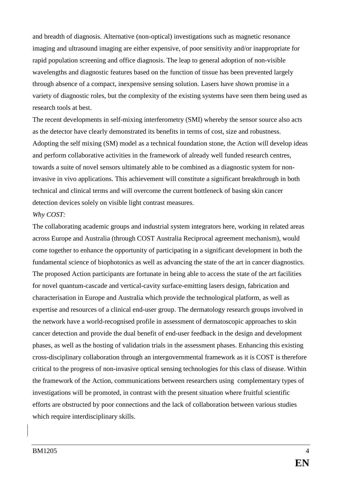and breadth of diagnosis. Alternative (non-optical) investigations such as magnetic resonance imaging and ultrasound imaging are either expensive, of poor sensitivity and/or inappropriate for rapid population screening and office diagnosis. The leap to general adoption of non-visible wavelengths and diagnostic features based on the function of tissue has been prevented largely through absence of a compact, inexpensive sensing solution. Lasers have shown promise in a variety of diagnostic roles, but the complexity of the existing systems have seen them being used as research tools at best.

The recent developments in self-mixing interferometry (SMI) whereby the sensor source also acts as the detector have clearly demonstrated its benefits in terms of cost, size and robustness. Adopting the self mixing (SM) model as a technical foundation stone, the Action will develop ideas and perform collaborative activities in the framework of already well funded research centres, towards a suite of novel sensors ultimately able to be combined as a diagnostic system for noninvasive in vivo applications. This achievement will constitute a significant breakthrough in both technical and clinical terms and will overcome the current bottleneck of basing skin cancer detection devices solely on visible light contrast measures.

#### *Why COST:*

The collaborating academic groups and industrial system integrators here, working in related areas across Europe and Australia (through COST Australia Reciprocal agreement mechanism), would come together to enhance the opportunity of participating in a significant development in both the fundamental science of biophotonics as well as advancing the state of the art in cancer diagnostics. The proposed Action participants are fortunate in being able to access the state of the art facilities for novel quantum-cascade and vertical-cavity surface-emitting lasers design, fabrication and characterisation in Europe and Australia which provide the technological platform, as well as expertise and resources of a clinical end-user group. The dermatology research groups involved in the network have a world-recognised profile in assessment of dermatoscopic approaches to skin cancer detection and provide the dual benefit of end-user feedback in the design and development phases, as well as the hosting of validation trials in the assessment phases. Enhancing this existing cross-disciplinary collaboration through an intergovernmental framework as it is COST is therefore critical to the progress of non-invasive optical sensing technologies for this class of disease. Within the framework of the Action, communications between researchers using complementary types of investigations will be promoted, in contrast with the present situation where fruitful scientific efforts are obstructed by poor connections and the lack of collaboration between various studies which require interdisciplinary skills.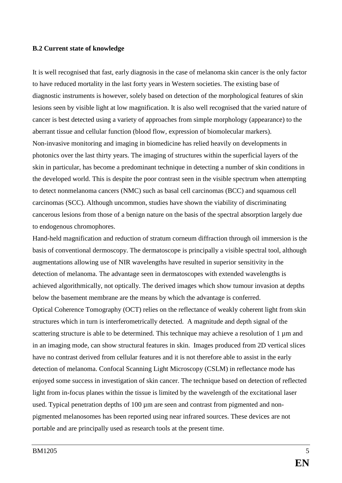#### **B.2 Current state of knowledge**

It is well recognised that fast, early diagnosis in the case of melanoma skin cancer is the only factor to have reduced mortality in the last forty years in Western societies. The existing base of diagnostic instruments is however, solely based on detection of the morphological features of skin lesions seen by visible light at low magnification. It is also well recognised that the varied nature of cancer is best detected using a variety of approaches from simple morphology (appearance) to the aberrant tissue and cellular function (blood flow, expression of biomolecular markers). Non-invasive monitoring and imaging in biomedicine has relied heavily on developments in photonics over the last thirty years. The imaging of structures within the superficial layers of the skin in particular, has become a predominant technique in detecting a number of skin conditions in the developed world. This is despite the poor contrast seen in the visible spectrum when attempting to detect nonmelanoma cancers (NMC) such as basal cell carcinomas (BCC) and squamous cell carcinomas (SCC). Although uncommon, studies have shown the viability of discriminating cancerous lesions from those of a benign nature on the basis of the spectral absorption largely due to endogenous chromophores.

Hand-held magnification and reduction of stratum corneum diffraction through oil immersion is the basis of conventional dermoscopy. The dermatoscope is principally a visible spectral tool, although augmentations allowing use of NIR wavelengths have resulted in superior sensitivity in the detection of melanoma. The advantage seen in dermatoscopes with extended wavelengths is achieved algorithmically, not optically. The derived images which show tumour invasion at depths below the basement membrane are the means by which the advantage is conferred.

Optical Coherence Tomography (OCT) relies on the reflectance of weakly coherent light from skin structures which in turn is interferometrically detected. A magnitude and depth signal of the scattering structure is able to be determined. This technique may achieve a resolution of  $1 \mu m$  and in an imaging mode, can show structural features in skin. Images produced from 2D vertical slices have no contrast derived from cellular features and it is not therefore able to assist in the early detection of melanoma. Confocal Scanning Light Microscopy (CSLM) in reflectance mode has enjoyed some success in investigation of skin cancer. The technique based on detection of reflected light from in-focus planes within the tissue is limited by the wavelength of the excitational laser used. Typical penetration depths of 100  $\mu$ m are seen and contrast from pigmented and nonpigmented melanosomes has been reported using near infrared sources. These devices are not portable and are principally used as research tools at the present time.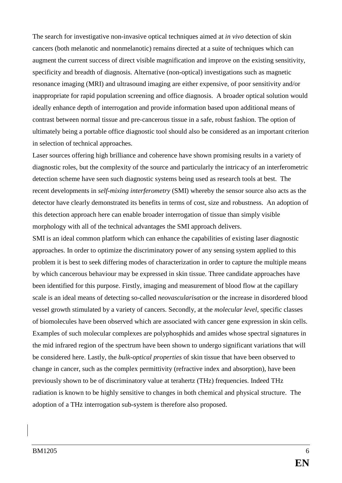The search for investigative non-invasive optical techniques aimed at *in vivo* detection of skin cancers (both melanotic and nonmelanotic) remains directed at a suite of techniques which can augment the current success of direct visible magnification and improve on the existing sensitivity, specificity and breadth of diagnosis. Alternative (non-optical) investigations such as magnetic resonance imaging (MRI) and ultrasound imaging are either expensive, of poor sensitivity and/or inappropriate for rapid population screening and office diagnosis. A broader optical solution would ideally enhance depth of interrogation and provide information based upon additional means of contrast between normal tissue and pre-cancerous tissue in a safe, robust fashion. The option of ultimately being a portable office diagnostic tool should also be considered as an important criterion in selection of technical approaches.

Laser sources offering high brilliance and coherence have shown promising results in a variety of diagnostic roles, but the complexity of the source and particularly the intricacy of an interferometric detection scheme have seen such diagnostic systems being used as research tools at best. The recent developments in *self-mixing interferometry* (SMI) whereby the sensor source also acts as the detector have clearly demonstrated its benefits in terms of cost, size and robustness. An adoption of this detection approach here can enable broader interrogation of tissue than simply visible morphology with all of the technical advantages the SMI approach delivers.

SMI is an ideal common platform which can enhance the capabilities of existing laser diagnostic approaches. In order to optimize the discriminatory power of any sensing system applied to this problem it is best to seek differing modes of characterization in order to capture the multiple means by which cancerous behaviour may be expressed in skin tissue. Three candidate approaches have been identified for this purpose. Firstly, imaging and measurement of blood flow at the capillary scale is an ideal means of detecting so-called *neovascularisation* or the increase in disordered blood vessel growth stimulated by a variety of cancers. Secondly, at the *molecular level*, specific classes of biomolecules have been observed which are associated with cancer gene expression in skin cells. Examples of such molecular complexes are polyphosphids and amides whose spectral signatures in the mid infrared region of the spectrum have been shown to undergo significant variations that will be considered here. Lastly, the *bulk-optical properties* of skin tissue that have been observed to change in cancer, such as the complex permittivity (refractive index and absorption), have been previously shown to be of discriminatory value at terahertz (THz) frequencies. Indeed THz radiation is known to be highly sensitive to changes in both chemical and physical structure. The adoption of a THz interrogation sub-system is therefore also proposed.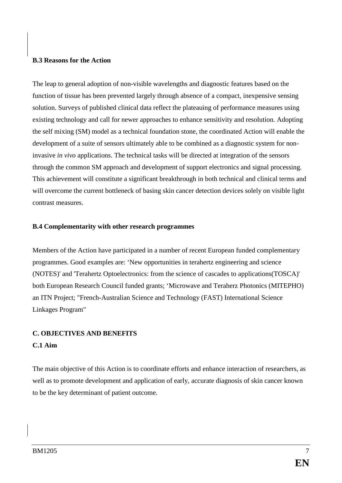### **B.3 Reasons for the Action**

The leap to general adoption of non-visible wavelengths and diagnostic features based on the function of tissue has been prevented largely through absence of a compact, inexpensive sensing solution. Surveys of published clinical data reflect the plateauing of performance measures using existing technology and call for newer approaches to enhance sensitivity and resolution. Adopting the self mixing (SM) model as a technical foundation stone, the coordinated Action will enable the development of a suite of sensors ultimately able to be combined as a diagnostic system for noninvasive *in vivo* applications. The technical tasks will be directed at integration of the sensors through the common SM approach and development of support electronics and signal processing. This achievement will constitute a significant breakthrough in both technical and clinical terms and will overcome the current bottleneck of basing skin cancer detection devices solely on visible light contrast measures.

#### **B.4 Complementarity with other research programmes**

Members of the Action have participated in a number of recent European funded complementary programmes. Good examples are: 'New opportunities in terahertz engineering and science (NOTES)' and 'Terahertz Optoelectronics: from the science of cascades to applications(TOSCA)' both European Research Council funded grants; 'Microwave and Teraherz Photonics (MITEPHO) an ITN Project; "French-Australian Science and Technology (FAST) International Science Linkages Program"

# **C. OBJECTIVES AND BENEFITS**

## **C.1 Aim**

The main objective of this Action is to coordinate efforts and enhance interaction of researchers, as well as to promote development and application of early, accurate diagnosis of skin cancer known to be the key determinant of patient outcome.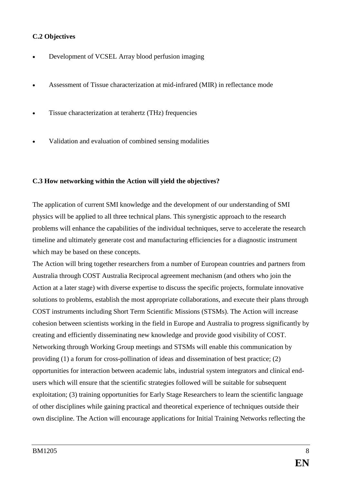## **C.2 Objectives**

- Development of VCSEL Array blood perfusion imaging
- Assessment of Tissue characterization at mid-infrared (MIR) in reflectance mode
- Tissue characterization at terahertz (THz) frequencies
- Validation and evaluation of combined sensing modalities

#### **C.3 How networking within the Action will yield the objectives?**

The application of current SMI knowledge and the development of our understanding of SMI physics will be applied to all three technical plans. This synergistic approach to the research problems will enhance the capabilities of the individual techniques, serve to accelerate the research timeline and ultimately generate cost and manufacturing efficiencies for a diagnostic instrument which may be based on these concepts.

The Action will bring together researchers from a number of European countries and partners from Australia through COST Australia Reciprocal agreement mechanism (and others who join the Action at a later stage) with diverse expertise to discuss the specific projects, formulate innovative solutions to problems, establish the most appropriate collaborations, and execute their plans through COST instruments including Short Term Scientific Missions (STSMs). The Action will increase cohesion between scientists working in the field in Europe and Australia to progress significantly by creating and efficiently disseminating new knowledge and provide good visibility of COST. Networking through Working Group meetings and STSMs will enable this communication by providing (1) a forum for cross-pollination of ideas and dissemination of best practice; (2) opportunities for interaction between academic labs, industrial system integrators and clinical endusers which will ensure that the scientific strategies followed will be suitable for subsequent exploitation; (3) training opportunities for Early Stage Researchers to learn the scientific language of other disciplines while gaining practical and theoretical experience of techniques outside their own discipline. The Action will encourage applications for Initial Training Networks reflecting the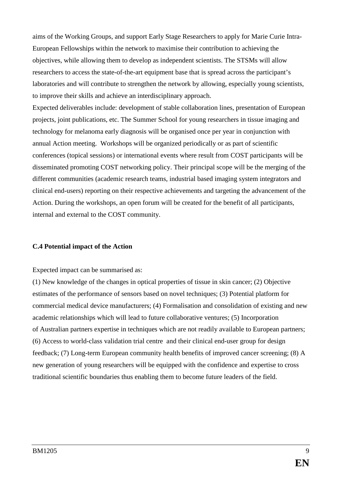aims of the Working Groups, and support Early Stage Researchers to apply for Marie Curie Intra-European Fellowships within the network to maximise their contribution to achieving the objectives, while allowing them to develop as independent scientists. The STSMs will allow researchers to access the state-of-the-art equipment base that is spread across the participant's laboratories and will contribute to strengthen the network by allowing, especially young scientists, to improve their skills and achieve an interdisciplinary approach.

Expected deliverables include: development of stable collaboration lines, presentation of European projects, joint publications, etc. The Summer School for young researchers in tissue imaging and technology for melanoma early diagnosis will be organised once per year in conjunction with annual Action meeting. Workshops will be organized periodically or as part of scientific conferences (topical sessions) or international events where result from COST participants will be disseminated promoting COST networking policy. Their principal scope will be the merging of the different communities (academic research teams, industrial based imaging system integrators and clinical end-users) reporting on their respective achievements and targeting the advancement of the Action. During the workshops, an open forum will be created for the benefit of all participants, internal and external to the COST community.

#### **C.4 Potential impact of the Action**

#### Expected impact can be summarised as:

(1) New knowledge of the changes in optical properties of tissue in skin cancer; (2) Objective estimates of the performance of sensors based on novel techniques; (3) Potential platform for commercial medical device manufacturers; (4) Formalisation and consolidation of existing and new academic relationships which will lead to future collaborative ventures; (5) Incorporation of Australian partners expertise in techniques which are not readily available to European partners; (6) Access to world-class validation trial centre and their clinical end-user group for design feedback; (7) Long-term European community health benefits of improved cancer screening; (8) A new generation of young researchers will be equipped with the confidence and expertise to cross traditional scientific boundaries thus enabling them to become future leaders of the field.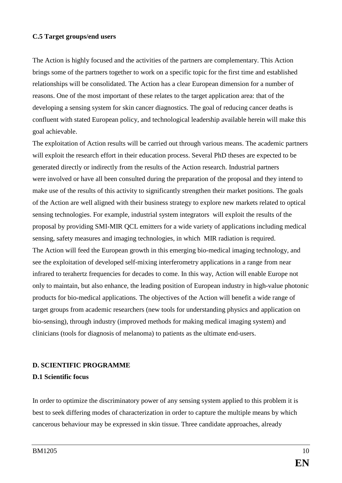#### **C.5 Target groups/end users**

The Action is highly focused and the activities of the partners are complementary. This Action brings some of the partners together to work on a specific topic for the first time and established relationships will be consolidated. The Action has a clear European dimension for a number of reasons. One of the most important of these relates to the target application area: that of the developing a sensing system for skin cancer diagnostics. The goal of reducing cancer deaths is confluent with stated European policy, and technological leadership available herein will make this goal achievable.

The exploitation of Action results will be carried out through various means. The academic partners will exploit the research effort in their education process. Several PhD theses are expected to be generated directly or indirectly from the results of the Action research. Industrial partners were involved or have all been consulted during the preparation of the proposal and they intend to make use of the results of this activity to significantly strengthen their market positions. The goals of the Action are well aligned with their business strategy to explore new markets related to optical sensing technologies. For example, industrial system integrators will exploit the results of the proposal by providing SMI-MIR QCL emitters for a wide variety of applications including medical sensing, safety measures and imaging technologies, in which MIR radiation is required. The Action will feed the European growth in this emerging bio-medical imaging technology, and see the exploitation of developed self-mixing interferometry applications in a range from near infrared to terahertz frequencies for decades to come. In this way, Action will enable Europe not only to maintain, but also enhance, the leading position of European industry in high-value photonic products for bio-medical applications. The objectives of the Action will benefit a wide range of target groups from academic researchers (new tools for understanding physics and application on bio-sensing), through industry (improved methods for making medical imaging system) and clinicians (tools for diagnosis of melanoma) to patients as the ultimate end-users.

#### **D. SCIENTIFIC PROGRAMME**

#### **D.1 Scientific focus**

In order to optimize the discriminatory power of any sensing system applied to this problem it is best to seek differing modes of characterization in order to capture the multiple means by which cancerous behaviour may be expressed in skin tissue. Three candidate approaches, already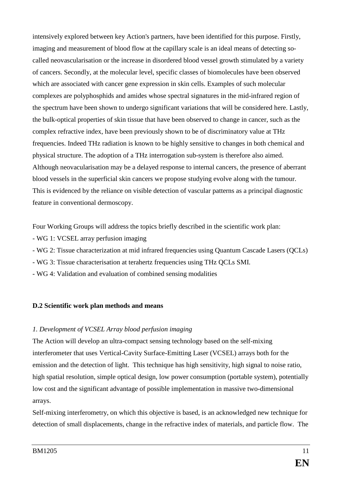intensively explored between key Action's partners, have been identified for this purpose. Firstly, imaging and measurement of blood flow at the capillary scale is an ideal means of detecting socalled neovascularisation or the increase in disordered blood vessel growth stimulated by a variety of cancers. Secondly, at the molecular level, specific classes of biomolecules have been observed which are associated with cancer gene expression in skin cells. Examples of such molecular complexes are polyphosphids and amides whose spectral signatures in the mid-infrared region of the spectrum have been shown to undergo significant variations that will be considered here. Lastly, the bulk-optical properties of skin tissue that have been observed to change in cancer, such as the complex refractive index, have been previously shown to be of discriminatory value at THz frequencies. Indeed THz radiation is known to be highly sensitive to changes in both chemical and physical structure. The adoption of a THz interrogation sub-system is therefore also aimed. Although neovacularisation may be a delayed response to internal cancers, the presence of aberrant blood vessels in the superficial skin cancers we propose studying evolve along with the tumour. This is evidenced by the reliance on visible detection of vascular patterns as a principal diagnostic feature in conventional dermoscopy.

Four Working Groups will address the topics briefly described in the scientific work plan:

- WG 1: VCSEL array perfusion imaging
- WG 2: Tissue characterization at mid infrared frequencies using Quantum Cascade Lasers (QCLs)
- WG 3: Tissue characterisation at terahertz frequencies using THz QCLs SMI.
- WG 4: Validation and evaluation of combined sensing modalities

# **D.2 Scientific work plan methods and means**

# *1. Development of VCSEL Array blood perfusion imaging*

The Action will develop an ultra-compact sensing technology based on the self-mixing interferometer that uses Vertical-Cavity Surface-Emitting Laser (VCSEL) arrays both for the emission and the detection of light. This technique has high sensitivity, high signal to noise ratio, high spatial resolution, simple optical design, low power consumption (portable system), potentially low cost and the significant advantage of possible implementation in massive two-dimensional arrays.

Self-mixing interferometry, on which this objective is based, is an acknowledged new technique for detection of small displacements, change in the refractive index of materials, and particle flow. The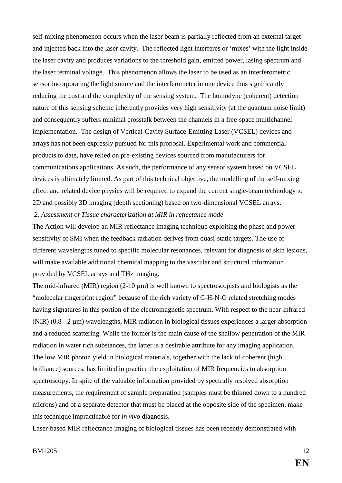self-mixing phenomenon occurs when the laser beam is partially reflected from an external target and injected back into the laser cavity. The reflected light interferes or 'mixes' with the light inside the laser cavity and produces variations to the threshold gain, emitted power, lasing spectrum and the laser terminal voltage. This phenomenon allows the laser to be used as an interferometric sensor incorporating the light source and the interferometer in one device thus significantly reducing the cost and the complexity of the sensing system. The homodyne (coherent) detection nature of this sensing scheme inherently provides very high sensitivity (at the quantum noise limit) and consequently suffers minimal crosstalk between the channels in a free-space multichannel implementation. The design of Vertical-Cavity Surface-Emitting Laser (VCSEL) devices and arrays has not been expressly pursued for this proposal. Experimental work and commercial products to date, have relied on pre-existing devices sourced from manufacturers for communications applications. As such, the performance of any sensor system based on VCSEL devices is ultimately limited. As part of this technical objective, the modelling of the self-mixing effect and related device physics will be required to expand the current single-beam technology to 2D and possibly 3D imaging (depth sectioning) based on two-dimensional VCSEL arrays.

*2. Assessment of Tissue characterization at MIR in reflectance mode*

The Action will develop an MIR reflectance imaging technique exploiting the phase and power sensitivity of SMI when the feedback radiation derives from quasi-static targets. The use of different wavelengths tuned to specific molecular resonances, relevant for diagnosis of skin lesions, will make available additional chemical mapping to the vascular and structural information provided by VCSEL arrays and THz imaging.

The mid-infrared (MIR) region  $(2-10 \mu m)$  is well known to spectroscopists and biologists as the "molecular fingerprint region" because of the rich variety of C-H-N-O related stretching modes having signatures in this portion of the electromagnetic spectrum. With respect to the near-infrared (NIR) (0.8 - 2 µm) wavelengths, MIR radiation in biological tissues experiences a larger absorption and a reduced scattering. While the former is the main cause of the shallow penetration of the MIR radiation in water rich substances, the latter is a desirable attribute for any imaging application. The low MIR photon yield in biological materials, together with the lack of coherent (high brilliance) sources, has limited in practice the exploitation of MIR frequencies to absorption spectroscopy. In spite of the valuable information provided by spectrally resolved absorption measurements, the requirement of sample preparation (samples must be thinned down to a hundred microns) and of a separate detector that must be placed at the opposite side of the specimen, make this technique impracticable for *in vivo* diagnosis.

Laser-based MIR reflectance imaging of biological tissues has been recently demonstrated with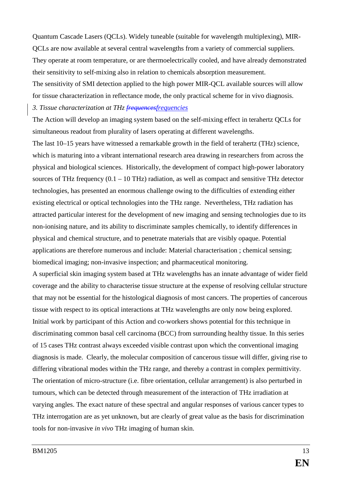Quantum Cascade Lasers (QCLs). Widely tuneable (suitable for wavelength multiplexing), MIR-QCLs are now available at several central wavelengths from a variety of commercial suppliers. They operate at room temperature, or are thermoelectrically cooled, and have already demonstrated their sensitivity to self-mixing also in relation to chemicals absorption measurement.

The sensitivity of SMI detection applied to the high power MIR-QCL available sources will allow for tissue characterization in reflectance mode, the only practical scheme for in vivo diagnosis.

*3. Tissue characterization at THz frequencesfrequencies*

The Action will develop an imaging system based on the self-mixing effect in terahertz QCLs for simultaneous readout from plurality of lasers operating at different wavelengths.

The last 10–15 years have witnessed a remarkable growth in the field of terahertz (THz) science, which is maturing into a vibrant international research area drawing in researchers from across the physical and biological sciences. Historically, the development of compact high-power laboratory sources of THz frequency  $(0.1 - 10 \text{ THz})$  radiation, as well as compact and sensitive THz detector technologies, has presented an enormous challenge owing to the difficulties of extending either existing electrical or optical technologies into the THz range. Nevertheless, THz radiation has attracted particular interest for the development of new imaging and sensing technologies due to its non-ionising nature, and its ability to discriminate samples chemically, to identify differences in physical and chemical structure, and to penetrate materials that are visibly opaque. Potential applications are therefore numerous and include: Material characterisation ; chemical sensing; biomedical imaging; non-invasive inspection; and pharmaceutical monitoring.

A superficial skin imaging system based at THz wavelengths has an innate advantage of wider field coverage and the ability to characterise tissue structure at the expense of resolving cellular structure that may not be essential for the histological diagnosis of most cancers. The properties of cancerous tissue with respect to its optical interactions at THz wavelengths are only now being explored. Initial work by participant of this Action and co-workers shows potential for this technique in discriminating common basal cell carcinoma (BCC) from surrounding healthy tissue. In this series of 15 cases THz contrast always exceeded visible contrast upon which the conventional imaging diagnosis is made. Clearly, the molecular composition of cancerous tissue will differ, giving rise to differing vibrational modes within the THz range, and thereby a contrast in complex permittivity. The orientation of micro-structure (i.e. fibre orientation, cellular arrangement) is also perturbed in tumours, which can be detected through measurement of the interaction of THz irradiation at varying angles. The exact nature of these spectral and angular responses of various cancer types to THz interrogation are as yet unknown, but are clearly of great value as the basis for discrimination tools for non-invasive *in vivo* THz imaging of human skin.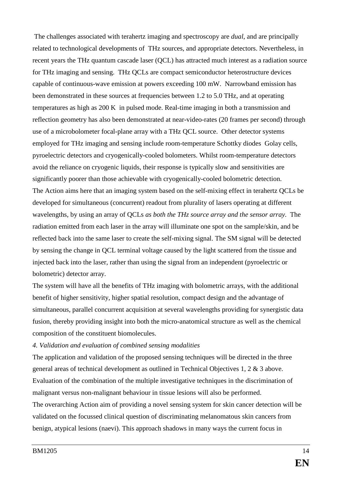The challenges associated with terahertz imaging and spectroscopy are *dual*, and are principally related to technological developments of THz sources, and appropriate detectors. Nevertheless, in recent years the THz quantum cascade laser (QCL) has attracted much interest as a radiation source for THz imaging and sensing. THz QCLs are compact semiconductor heterostructure devices capable of continuous-wave emission at powers exceeding 100 mW. Narrowband emission has been demonstrated in these sources at frequencies between 1.2 to 5.0 THz, and at operating temperatures as high as 200 K in pulsed mode. Real-time imaging in both a transmission and reflection geometry has also been demonstrated at near-video-rates (20 frames per second) through use of a microbolometer focal-plane array with a THz QCL source. Other detector systems employed for THz imaging and sensing include room-temperature Schottky diodes Golay cells, pyroelectric detectors and cryogenically-cooled bolometers. Whilst room-temperature detectors avoid the reliance on cryogenic liquids, their response is typically slow and sensitivities are significantly poorer than those achievable with cryogenically-cooled bolometric detection. The Action aims here that an imaging system based on the self-mixing effect in terahertz QCLs be developed for simultaneous (concurrent) readout from plurality of lasers operating at different wavelengths, by using an array of QCLs *as both the THz source array and the sensor array*. The radiation emitted from each laser in the array will illuminate one spot on the sample/skin, and be reflected back into the same laser to create the self-mixing signal. The SM signal will be detected by sensing the change in QCL terminal voltage caused by the light scattered from the tissue and injected back into the laser, rather than using the signal from an independent (pyroelectric or bolometric) detector array.

The system will have all the benefits of THz imaging with bolometric arrays, with the additional benefit of higher sensitivity, higher spatial resolution, compact design and the advantage of simultaneous, parallel concurrent acquisition at several wavelengths providing for synergistic data fusion, thereby providing insight into both the micro-anatomical structure as well as the chemical composition of the constituent biomolecules.

#### *4. Validation and evaluation of combined sensing modalities*

The application and validation of the proposed sensing techniques will be directed in the three general areas of technical development as outlined in Technical Objectives 1, 2 & 3 above. Evaluation of the combination of the multiple investigative techniques in the discrimination of malignant versus non-malignant behaviour in tissue lesions will also be performed.

The overarching Action aim of providing a novel sensing system for skin cancer detection will be validated on the focussed clinical question of discriminating melanomatous skin cancers from benign, atypical lesions (naevi). This approach shadows in many ways the current focus in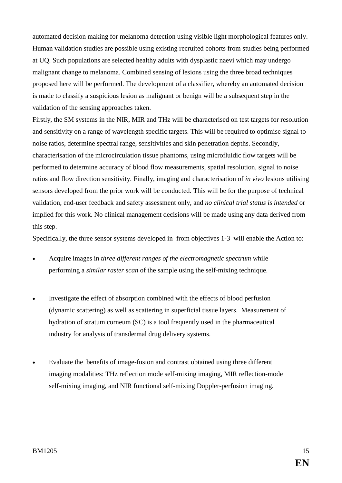automated decision making for melanoma detection using visible light morphological features only. Human validation studies are possible using existing recruited cohorts from studies being performed at UQ. Such populations are selected healthy adults with dysplastic naevi which may undergo malignant change to melanoma. Combined sensing of lesions using the three broad techniques proposed here will be performed. The development of a classifier, whereby an automated decision is made to classify a suspicious lesion as malignant or benign will be a subsequent step in the validation of the sensing approaches taken.

Firstly, the SM systems in the NIR, MIR and THz will be characterised on test targets for resolution and sensitivity on a range of wavelength specific targets. This will be required to optimise signal to noise ratios, determine spectral range, sensitivities and skin penetration depths. Secondly, characterisation of the microcirculation tissue phantoms, using microfluidic flow targets will be performed to determine accuracy of blood flow measurements, spatial resolution, signal to noise ratios and flow direction sensitivity. Finally, imaging and characterisation of *in vivo* lesions utilising sensors developed from the prior work will be conducted. This will be for the purpose of technical validation, end-user feedback and safety assessment only, and *no clinical trial status is intended* or implied for this work. No clinical management decisions will be made using any data derived from this step.

Specifically, the three sensor systems developed in from objectives 1-3 will enable the Action to:

- Acquire images in *three different ranges of the electromagnetic spectrum* while performing a *similar raster scan* of the sample using the self-mixing technique.
- Investigate the effect of absorption combined with the effects of blood perfusion (dynamic scattering) as well as scattering in superficial tissue layers. Measurement of hydration of stratum corneum (SC) is a tool frequently used in the pharmaceutical industry for analysis of transdermal drug delivery systems.
- Evaluate the benefits of image-fusion and contrast obtained using three different imaging modalities: THz reflection mode self-mixing imaging, MIR reflection-mode self-mixing imaging, and NIR functional self-mixing Doppler-perfusion imaging.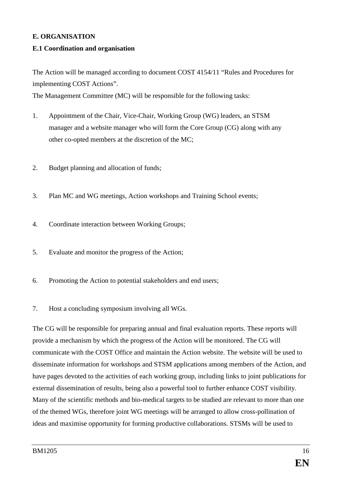## **E. ORGANISATION**

## **E.1 Coordination and organisation**

The Action will be managed according to document COST 4154/11 "Rules and Procedures for implementing COST Actions".

The Management Committee (MC) will be responsible for the following tasks:

- 1. Appointment of the Chair, Vice-Chair, Working Group (WG) leaders, an STSM manager and a website manager who will form the Core Group (CG) along with any other co-opted members at the discretion of the MC;
- 2. Budget planning and allocation of funds;
- 3. Plan MC and WG meetings, Action workshops and Training School events;
- 4. Coordinate interaction between Working Groups;
- 5. Evaluate and monitor the progress of the Action;
- 6. Promoting the Action to potential stakeholders and end users;
- 7. Host a concluding symposium involving all WGs.

The CG will be responsible for preparing annual and final evaluation reports. These reports will provide a mechanism by which the progress of the Action will be monitored. The CG will communicate with the COST Office and maintain the Action website. The website will be used to disseminate information for workshops and STSM applications among members of the Action, and have pages devoted to the activities of each working group, including links to joint publications for external dissemination of results, being also a powerful tool to further enhance COST visibility. Many of the scientific methods and bio-medical targets to be studied are relevant to more than one of the themed WGs, therefore joint WG meetings will be arranged to allow cross-pollination of ideas and maximise opportunity for forming productive collaborations. STSMs will be used to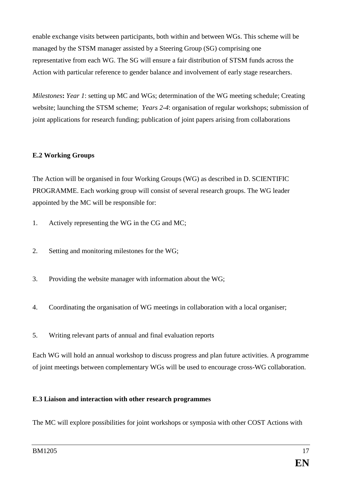enable exchange visits between participants, both within and between WGs. This scheme will be managed by the STSM manager assisted by a Steering Group (SG) comprising one representative from each WG. The SG will ensure a fair distribution of STSM funds across the Action with particular reference to gender balance and involvement of early stage researchers.

*Milestones***:** *Year 1*: setting up MC and WGs; determination of the WG meeting schedule; Creating website; launching the STSM scheme; *Years 2-4*: organisation of regular workshops; submission of joint applications for research funding; publication of joint papers arising from collaborations

# **E.2 Working Groups**

The Action will be organised in four Working Groups (WG) as described in D. SCIENTIFIC PROGRAMME. Each working group will consist of several research groups. The WG leader appointed by the MC will be responsible for:

- 1. Actively representing the WG in the CG and MC;
- 2. Setting and monitoring milestones for the WG;
- 3. Providing the website manager with information about the WG;
- 4. Coordinating the organisation of WG meetings in collaboration with a local organiser;
- 5. Writing relevant parts of annual and final evaluation reports

Each WG will hold an annual workshop to discuss progress and plan future activities. A programme of joint meetings between complementary WGs will be used to encourage cross-WG collaboration.

# **E.3 Liaison and interaction with other research programmes**

The MC will explore possibilities for joint workshops or symposia with other COST Actions with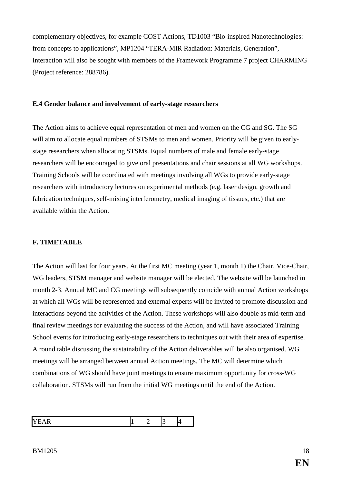complementary objectives, for example COST Actions, TD1003 "Bio-inspired Nanotechnologies: from concepts to applications", MP1204 "TERA-MIR Radiation: Materials, Generation", Interaction will also be sought with members of the Framework Programme 7 project CHARMING (Project reference: 288786).

### **E.4 Gender balance and involvement of early-stage researchers**

The Action aims to achieve equal representation of men and women on the CG and SG. The SG will aim to allocate equal numbers of STSMs to men and women. Priority will be given to earlystage researchers when allocating STSMs. Equal numbers of male and female early-stage researchers will be encouraged to give oral presentations and chair sessions at all WG workshops. Training Schools will be coordinated with meetings involving all WGs to provide early-stage researchers with introductory lectures on experimental methods (e.g. laser design, growth and fabrication techniques, self-mixing interferometry, medical imaging of tissues, etc.) that are available within the Action.

# **F. TIMETABLE**

The Action will last for four years. At the first MC meeting (year 1, month 1) the Chair, Vice-Chair, WG leaders, STSM manager and website manager will be elected. The website will be launched in month 2-3. Annual MC and CG meetings will subsequently coincide with annual Action workshops at which all WGs will be represented and external experts will be invited to promote discussion and interactions beyond the activities of the Action. These workshops will also double as mid-term and final review meetings for evaluating the success of the Action, and will have associated Training School events for introducing early-stage researchers to techniques out with their area of expertise. A round table discussing the sustainability of the Action deliverables will be also organised. WG meetings will be arranged between annual Action meetings. The MC will determine which combinations of WG should have joint meetings to ensure maximum opportunity for cross-WG collaboration. STSMs will run from the initial WG meetings until the end of the Action.

|--|--|--|--|--|--|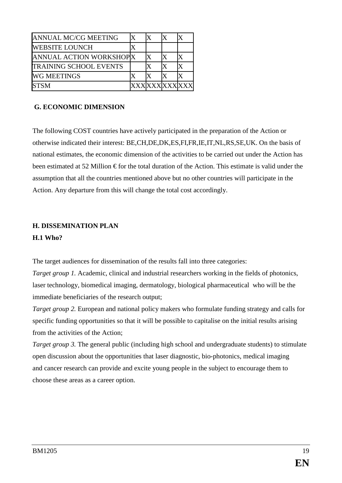| <b>ANNUAL MC/CG MEETING</b>   |  |                |  |
|-------------------------------|--|----------------|--|
| <b>WEBSITE LOUNCH</b>         |  |                |  |
| ANNUAL ACTION WORKSHOPX       |  |                |  |
| <b>TRAINING SCHOOL EVENTS</b> |  |                |  |
| <b>WG MEETINGS</b>            |  |                |  |
| <b>ISTSM</b>                  |  | <b>XXXXXXX</b> |  |

## **G. ECONOMIC DIMENSION**

The following COST countries have actively participated in the preparation of the Action or otherwise indicated their interest: BE,CH,DE,DK,ES,FI,FR,IE,IT,NL,RS,SE,UK. On the basis of national estimates, the economic dimension of the activities to be carried out under the Action has been estimated at 52 Million  $\epsilon$  for the total duration of the Action. This estimate is valid under the assumption that all the countries mentioned above but no other countries will participate in the Action. Any departure from this will change the total cost accordingly.

# **H. DISSEMINATION PLAN**

#### **H.1 Who?**

The target audiences for dissemination of the results fall into three categories:

*Target group 1.* Academic, clinical and industrial researchers working in the fields of photonics, laser technology, biomedical imaging, dermatology, biological pharmaceutical who will be the immediate beneficiaries of the research output;

*Target group 2.* European and national policy makers who formulate funding strategy and calls for specific funding opportunities so that it will be possible to capitalise on the initial results arising from the activities of the Action;

*Target group 3.* The general public (including high school and undergraduate students) to stimulate open discussion about the opportunities that laser diagnostic, bio-photonics, medical imaging and cancer research can provide and excite young people in the subject to encourage them to choose these areas as a career option.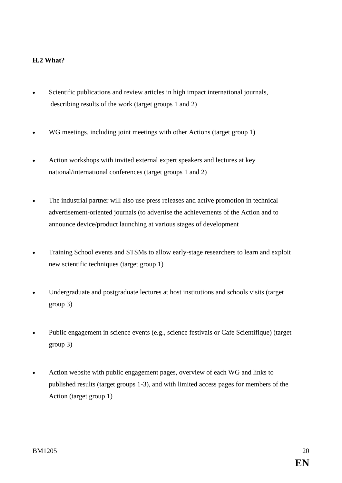# **H.2 What?**

- Scientific publications and review articles in high impact international journals, describing results of the work (target groups 1 and 2)
- WG meetings, including joint meetings with other Actions (target group 1)
- Action workshops with invited external expert speakers and lectures at key national/international conferences (target groups 1 and 2)
- The industrial partner will also use press releases and active promotion in technical advertisement-oriented journals (to advertise the achievements of the Action and to announce device/product launching at various stages of development
- Training School events and STSMs to allow early-stage researchers to learn and exploit new scientific techniques (target group 1)
- Undergraduate and postgraduate lectures at host institutions and schools visits (target group 3)
- Public engagement in science events (e.g., science festivals or Cafe Scientifique) (target group 3)
- Action website with public engagement pages, overview of each WG and links to published results (target groups 1-3), and with limited access pages for members of the Action (target group 1)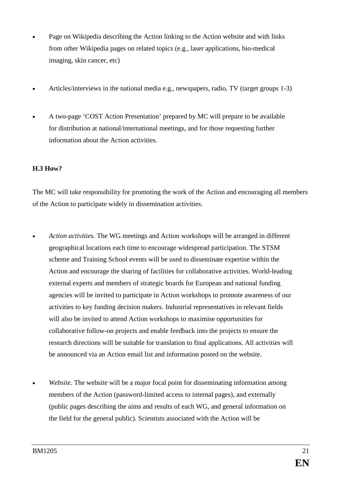- Page on Wikipedia describing the Action linking to the Action website and with links from other Wikipedia pages on related topics (e.g., laser applications, bio-medical imaging, skin cancer, etc)
- Articles/interviews in the national media e.g., newspapers, radio, TV (target groups 1-3)
- A two-page 'COST Action Presentation' prepared by MC will prepare to be available for distribution at national/international meetings, and for those requesting further information about the Action activities.

# **H.3 How?**

The MC will take responsibility for promoting the work of the Action and encouraging all members of the Action to participate widely in dissemination activities.

- *Action activities.* The WG meetings and Action workshops will be arranged in different geographical locations each time to encourage widespread participation. The STSM scheme and Training School events will be used to disseminate expertise within the Action and encourage the sharing of facilities for collaborative activities. World-leading external experts and members of strategic boards for European and national funding agencies will be invited to participate in Action workshops to promote awareness of our activities to key funding decision makers. Industrial representatives in relevant fields will also be invited to attend Action workshops to maximise opportunities for collaborative follow-on projects and enable feedback into the projects to ensure the research directions will be suitable for translation to final applications. All activities will be announced via an Action email list and information posted on the website.
- *Website*. The website will be a major focal point for disseminating information among members of the Action (password-limited access to internal pages), and externally (public pages describing the aims and results of each WG, and general information on the field for the general public). Scientists associated with the Action will be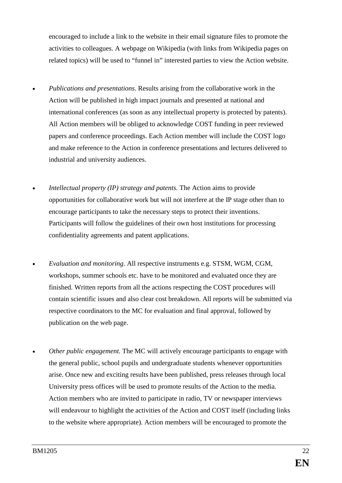encouraged to include a link to the website in their email signature files to promote the activities to colleagues. A webpage on Wikipedia (with links from Wikipedia pages on related topics) will be used to "funnel in" interested parties to view the Action website.

- *Publications and presentations.* Results arising from the collaborative work in the Action will be published in high impact journals and presented at national and international conferences (as soon as any intellectual property is protected by patents). All Action members will be obliged to acknowledge COST funding in peer reviewed papers and conference proceedings. Each Action member will include the COST logo and make reference to the Action in conference presentations and lectures delivered to industrial and university audiences.
- *Intellectual property (IP) strategy and patents.* The Action aims to provide opportunities for collaborative work but will not interfere at the IP stage other than to encourage participants to take the necessary steps to protect their inventions. Participants will follow the guidelines of their own host institutions for processing confidentiality agreements and patent applications.
- *Evaluation and monitoring.* All respective instruments e.g. STSM, WGM, CGM, workshops, summer schools etc. have to be monitored and evaluated once they are finished. Written reports from all the actions respecting the COST procedures will contain scientific issues and also clear cost breakdown. All reports will be submitted via respective coordinators to the MC for evaluation and final approval, followed by publication on the web page.
- *Other public engagement.* The MC will actively encourage participants to engage with the general public, school pupils and undergraduate students whenever opportunities arise. Once new and exciting results have been published, press releases through local University press offices will be used to promote results of the Action to the media. Action members who are invited to participate in radio, TV or newspaper interviews will endeavour to highlight the activities of the Action and COST itself (including links to the website where appropriate). Action members will be encouraged to promote the